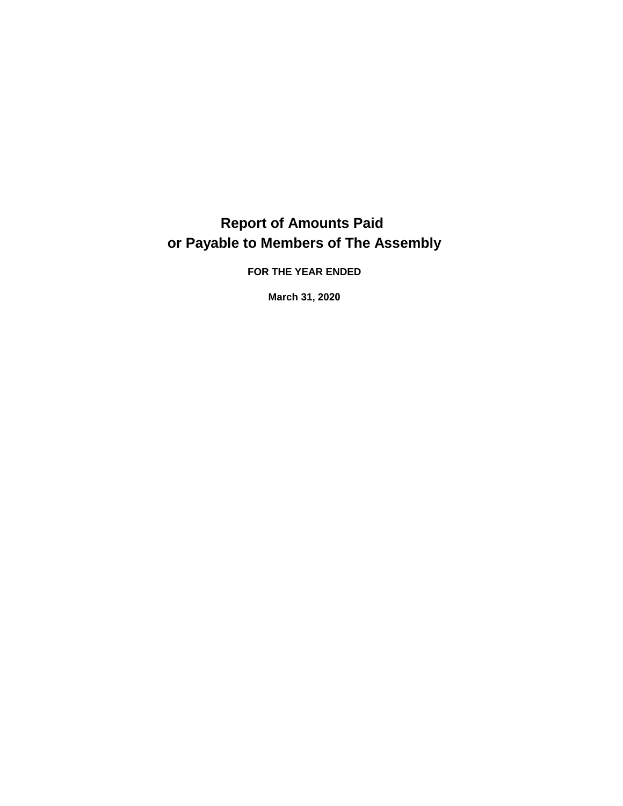## **Report of Amounts Paid or Payable to Members of The Assembly**

**FOR THE YEAR ENDED** 

**March 31, 2020**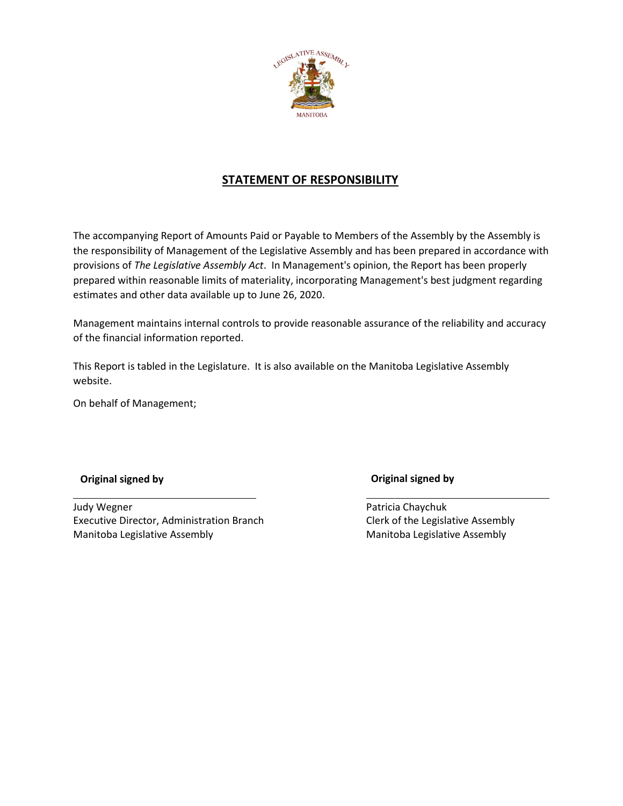

**STATEMENT OF RESPONSIBILITY**<br>The accompanying Report of Amounts Paid or Payable to Members of the Assembly by the Assembly<br>the responsibility of Management of the Legislative Assembly and has been prepared in accordance The accompanying Report of Amounts Paid or Payable to Members of the Assembly by the Assembly is<br>the responsibility of Management of the Legislative Assembly and has been prepared in accordance with<br>provisions of *The Legi* The accompanying Report of Amounts Paid or Payable to Members of the Assembly by the Assembly is the responsibility of Management of t prepared within reasonable limits of materiality, incorporating Management's best judgment regarding estimates and other data available up to June 26, 2020.

Management maintains internal controls to provide reasonable assurance of the reliability and accuracy of the financial information reported.

This Report is tabled in the Legislature. It is also available on the Manitoba Legislative Assembly website.

On behalf of Management;

**Original signed by Original signed by** 

Judy Wegner **Executive Director, Administration Branch** Manitoba Legislative Assembly

Patricia Chaychuk Clerk of the Legislative Assembly Manitoba Legislative Assembly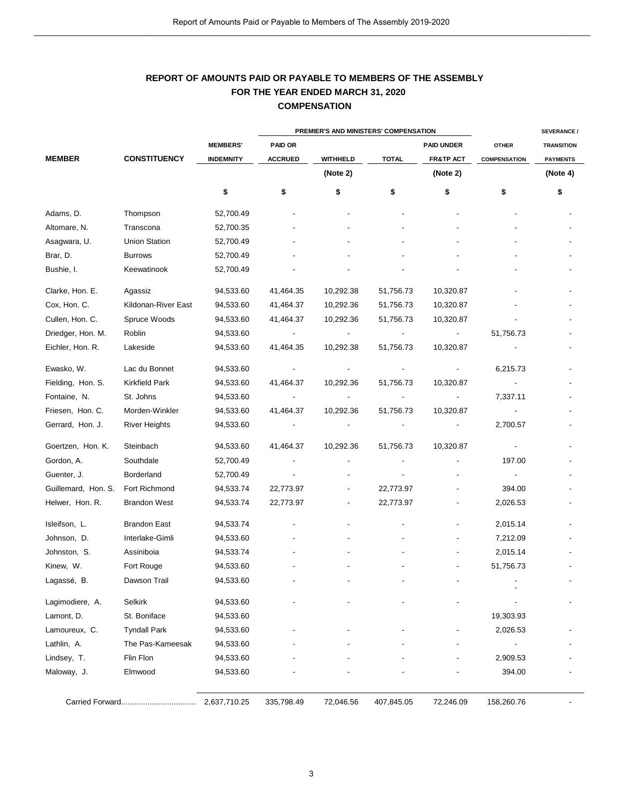## **COMPENSATION REPORT OF AMOUNTS PAID OR PAYABLE TO MEMBERS OF THE ASSEMBLY FOR THE YEAR ENDED MARCH 31, 2020**

|                     |                       |                  |                                       | <b>COMPENSATION</b> |              |                          |                     |                    |
|---------------------|-----------------------|------------------|---------------------------------------|---------------------|--------------|--------------------------|---------------------|--------------------|
|                     |                       |                  | PREMIER'S AND MINISTERS' COMPENSATION |                     |              |                          |                     | <b>SEVERANCE /</b> |
|                     |                       | <b>MEMBERS'</b>  | <b>PAID OR</b>                        |                     |              | <b>PAID UNDER</b>        | <b>OTHER</b>        | <b>TRANSITION</b>  |
| <b>MEMBER</b>       | <b>CONSTITUENCY</b>   | <b>INDEMNITY</b> | <b>ACCRUED</b>                        | WITHHELD            | <b>TOTAL</b> | <b>FR&amp;TP ACT</b>     | <b>COMPENSATION</b> | <b>PAYMENTS</b>    |
|                     |                       |                  |                                       | (Note 2)            |              | (Note 2)                 |                     | (Note 4)           |
|                     |                       | \$               | \$                                    | \$                  | \$           | \$                       | \$                  | \$                 |
| Adams, D.           | Thompson              | 52,700.49        |                                       |                     |              |                          |                     |                    |
| Altomare, N.        | Transcona             | 52,700.35        |                                       |                     |              |                          |                     |                    |
| Asagwara, U.        | <b>Union Station</b>  | 52,700.49        |                                       |                     |              |                          |                     |                    |
| Brar, D.            | <b>Burrows</b>        | 52,700.49        |                                       |                     |              |                          |                     |                    |
| Bushie, I.          | Keewatinook           | 52,700.49        |                                       |                     |              |                          |                     |                    |
| Clarke, Hon. E.     | Agassiz               | 94,533.60        | 41,464.35                             | 10,292.38           | 51,756.73    | 10,320.87                |                     |                    |
| Cox, Hon. C.        | Kildonan-River East   | 94,533.60        | 41,464.37                             | 10,292.36           | 51,756.73    | 10,320.87                |                     |                    |
| Cullen, Hon. C.     | Spruce Woods          | 94,533.60        | 41,464.37                             | 10,292.36           | 51,756.73    | 10,320.87                |                     |                    |
| Driedger, Hon. M.   | Roblin                | 94,533.60        |                                       |                     |              |                          | 51,756.73           |                    |
| Eichler, Hon. R.    | Lakeside              | 94,533.60        | 41,464.35                             | 10,292.38           | 51,756.73    | 10,320.87                |                     |                    |
| Ewasko, W.          | Lac du Bonnet         | 94,533.60        |                                       |                     |              | $\overline{\phantom{a}}$ | 6,215.73            |                    |
| Fielding, Hon. S.   | <b>Kirkfield Park</b> | 94,533.60        | 41,464.37                             | 10,292.36           | 51,756.73    | 10,320.87                |                     |                    |
| Fontaine, N.        | St. Johns             | 94,533.60        | $\overline{\phantom{a}}$              | $\blacksquare$      |              | $\overline{\phantom{a}}$ | 7,337.11            |                    |
| Friesen, Hon. C.    | Morden-Winkler        | 94,533.60        | 41,464.37                             | 10,292.36           | 51,756.73    | 10,320.87                |                     |                    |
| Gerrard, Hon. J.    | <b>River Heights</b>  | 94,533.60        |                                       |                     |              |                          | 2,700.57            |                    |
| Goertzen, Hon. K.   | Steinbach             | 94,533.60        | 41,464.37                             | 10,292.36           | 51,756.73    | 10,320.87                |                     |                    |
| Gordon, A.          | Southdale             | 52,700.49        |                                       |                     |              |                          | 197.00              |                    |
| Guenter, J.         | Borderland            | 52,700.49        |                                       |                     |              |                          |                     |                    |
| Guillemard, Hon. S. | Fort Richmond         | 94,533.74        | 22,773.97                             |                     | 22,773.97    |                          | 394.00              |                    |
| Helwer, Hon. R.     | <b>Brandon West</b>   | 94,533.74        | 22,773.97                             |                     | 22,773.97    |                          | 2,026.53            |                    |
| Isleifson, L.       | <b>Brandon East</b>   | 94,533.74        |                                       |                     |              |                          | 2,015.14            |                    |
| Johnson, D.         | Interlake-Gimli       | 94,533.60        |                                       |                     |              |                          | 7,212.09            |                    |
| Johnston, S.        | Assiniboia            | 94,533.74        |                                       |                     |              |                          | 2,015.14            |                    |
| Kinew, W.           | Fort Rouge            | 94,533.60        |                                       |                     |              |                          | 51,756.73           |                    |
| Lagassé, B.         | Dawson Trail          | 94,533.60        |                                       |                     |              |                          |                     |                    |
| Lagimodiere, A.     | Selkirk               | 94,533.60        |                                       |                     |              |                          |                     |                    |
| Lamont, D.          | St. Boniface          | 94,533.60        |                                       |                     |              |                          | 19,303.93           |                    |
| Lamoureux, C.       | <b>Tyndall Park</b>   | 94,533.60        |                                       |                     |              |                          | 2,026.53            |                    |
| Lathlin, A.         | The Pas-Kameesak      | 94,533.60        |                                       |                     |              |                          |                     |                    |
| Lindsey, T.         | Flin Flon             | 94,533.60        |                                       |                     |              |                          | 2,909.53            |                    |
| Maloway, J.         | Elmwood               | 94,533.60        |                                       |                     |              |                          | 394.00              |                    |
|                     |                       | 2,637,710.25     | 335,798.49                            | 72,046.56           | 407,845.05   | 72,246.09                | 158,260.76          |                    |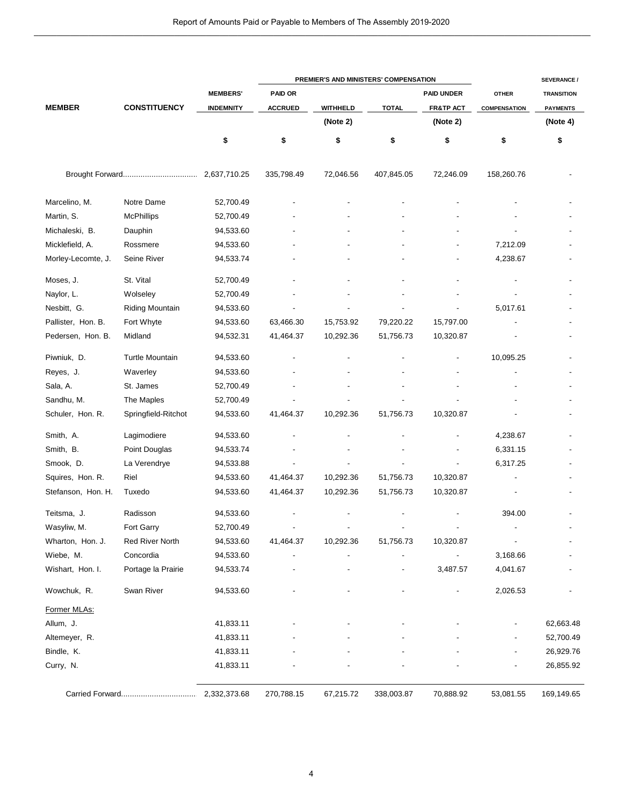|                    |                        |                  |                | PREMIER'S AND MINISTERS' COMPENSATION |                          |                      |                     | <b>SEVERANCE /</b> |
|--------------------|------------------------|------------------|----------------|---------------------------------------|--------------------------|----------------------|---------------------|--------------------|
|                    |                        | <b>MEMBERS'</b>  | <b>PAID OR</b> |                                       |                          | <b>PAID UNDER</b>    | <b>OTHER</b>        | <b>TRANSITION</b>  |
| <b>MEMBER</b>      | <b>CONSTITUENCY</b>    | <b>INDEMNITY</b> | <b>ACCRUED</b> | WITHHELD                              | <b>TOTAL</b>             | <b>FR&amp;TP ACT</b> | <b>COMPENSATION</b> | <b>PAYMENTS</b>    |
|                    |                        |                  |                | (Note 2)                              |                          | (Note 2)             |                     | (Note 4)           |
|                    |                        | \$               | \$             | \$                                    | \$                       | \$                   | \$                  | \$                 |
|                    |                        | 2,637,710.25     | 335,798.49     | 72,046.56                             | 407,845.05               | 72,246.09            | 158,260.76          |                    |
| Marcelino, M.      | Notre Dame             | 52,700.49        |                |                                       |                          |                      |                     |                    |
| Martin, S.         | <b>McPhillips</b>      | 52,700.49        |                |                                       |                          |                      |                     |                    |
| Michaleski, B.     | Dauphin                | 94,533.60        |                |                                       |                          |                      |                     |                    |
| Micklefield, A.    | Rossmere               | 94,533.60        |                |                                       |                          |                      | 7,212.09            |                    |
| Morley-Lecomte, J. | Seine River            | 94,533.74        |                |                                       |                          |                      | 4,238.67            |                    |
| Moses, J.          | St. Vital              | 52,700.49        |                |                                       |                          |                      |                     |                    |
| Naylor, L.         | Wolseley               | 52,700.49        |                |                                       |                          |                      |                     |                    |
| Nesbitt, G.        | <b>Riding Mountain</b> | 94,533.60        |                |                                       |                          |                      | 5,017.61            |                    |
| Pallister, Hon. B. | Fort Whyte             | 94,533.60        | 63,466.30      | 15,753.92                             | 79,220.22                | 15,797.00            |                     |                    |
| Pedersen, Hon. B.  | Midland                | 94,532.31        | 41,464.37      | 10,292.36                             | 51,756.73                | 10,320.87            |                     |                    |
| Piwniuk, D.        | <b>Turtle Mountain</b> | 94,533.60        |                |                                       |                          |                      | 10,095.25           |                    |
| Reyes, J.          | Waverley               | 94,533.60        |                |                                       |                          |                      |                     |                    |
| Sala, A.           | St. James              | 52,700.49        |                |                                       |                          |                      |                     |                    |
| Sandhu, M.         | The Maples             | 52,700.49        |                |                                       |                          |                      |                     |                    |
| Schuler, Hon. R.   | Springfield-Ritchot    | 94,533.60        | 41,464.37      | 10,292.36                             | 51,756.73                | 10,320.87            |                     |                    |
| Smith, A.          | Lagimodiere            | 94,533.60        |                |                                       |                          |                      | 4,238.67            |                    |
| Smith, B.          | Point Douglas          | 94,533.74        |                |                                       |                          |                      | 6,331.15            |                    |
| Smook, D.          | La Verendrye           | 94,533.88        |                |                                       |                          |                      | 6,317.25            |                    |
| Squires, Hon. R.   | Riel                   | 94,533.60        | 41,464.37      | 10,292.36                             | 51,756.73                | 10,320.87            |                     |                    |
| Stefanson, Hon. H. | Tuxedo                 | 94,533.60        | 41,464.37      | 10,292.36                             | 51,756.73                | 10,320.87            |                     |                    |
| Teitsma, J.        | Radisson               | 94,533.60        |                |                                       |                          |                      | 394.00              |                    |
| Wasyliw, M.        | Fort Garry             | 52,700.49        |                |                                       |                          |                      |                     |                    |
| Wharton, Hon. J.   | <b>Red River North</b> | 94,533.60        | 41,464.37      | 10,292.36                             | 51,756.73                | 10,320.87            |                     |                    |
| Wiebe, M.          | Concordia              | 94,533.60        |                |                                       |                          |                      | 3,168.66            |                    |
| Wishart, Hon. I.   | Portage la Prairie     | 94,533.74        |                |                                       | $\overline{\phantom{a}}$ | 3,487.57             | 4,041.67            |                    |
| Wowchuk, R.        | Swan River             | 94,533.60        |                |                                       |                          |                      | 2,026.53            |                    |
| Former MLAs:       |                        |                  |                |                                       |                          |                      |                     |                    |
| Allum, J.          |                        | 41,833.11        |                |                                       |                          |                      |                     | 62,663.48          |
| Altemeyer, R.      |                        | 41,833.11        |                |                                       |                          |                      |                     | 52,700.49          |
| Bindle, K.         |                        | 41,833.11        |                |                                       |                          |                      |                     | 26,929.76          |
| Curry, N.          |                        | 41,833.11        |                |                                       |                          |                      |                     | 26,855.92          |
|                    |                        | 2,332,373.68     | 270,788.15     | 67,215.72                             | 338,003.87               | 70,888.92            | 53,081.55           | 169,149.65         |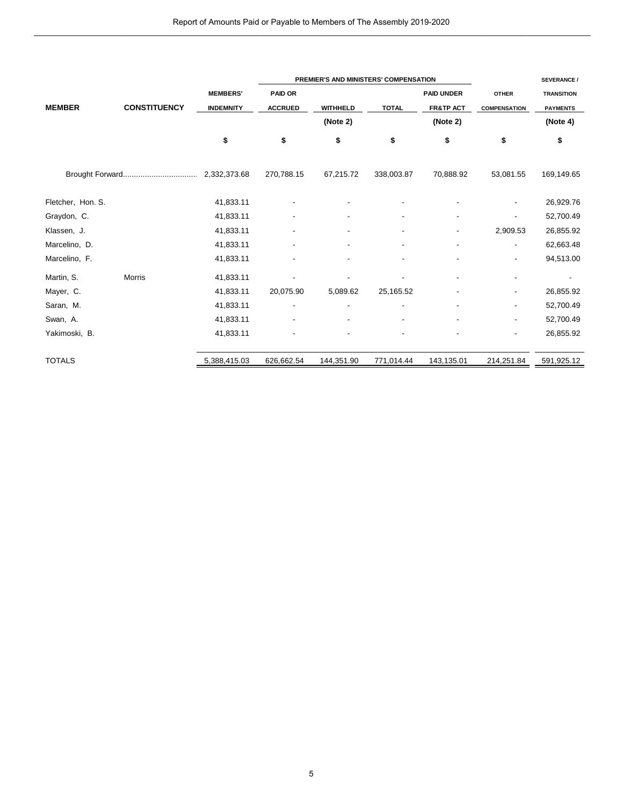|                   |                     |                                     | PREMIER'S AND MINISTERS' COMPENSATION |                             |                          |                                                       |                                     | <b>SEVERANCE /</b>                   |  |
|-------------------|---------------------|-------------------------------------|---------------------------------------|-----------------------------|--------------------------|-------------------------------------------------------|-------------------------------------|--------------------------------------|--|
| <b>MEMBER</b>     | <b>CONSTITUENCY</b> | <b>MEMBERS'</b><br><b>INDEMNITY</b> | <b>PAID OR</b><br><b>ACCRUED</b>      | <b>WITHHELD</b><br>(Note 2) | <b>TOTAL</b>             | <b>PAID UNDER</b><br><b>FR&amp;TP ACT</b><br>(Note 2) | <b>OTHER</b><br><b>COMPENSATION</b> | <b>TRANSITION</b><br><b>PAYMENTS</b> |  |
|                   |                     | \$                                  | \$                                    | \$                          | \$                       | \$                                                    | \$                                  | (Note 4)<br>\$                       |  |
|                   |                     |                                     | 270,788.15                            | 67,215.72                   | 338,003.87               | 70,888.92                                             | 53,081.55                           | 169,149.65                           |  |
| Fletcher, Hon. S. |                     | 41,833.11                           |                                       |                             |                          |                                                       |                                     | 26,929.76                            |  |
| Graydon, C.       |                     | 41,833.11                           | $\overline{\phantom{a}}$              | $\overline{\phantom{a}}$    | $\overline{\phantom{a}}$ | $\overline{\phantom{a}}$                              | $\overline{\phantom{a}}$            | 52,700.49                            |  |
| Klassen, J.       |                     | 41,833.11                           |                                       |                             | $\overline{\phantom{a}}$ |                                                       | 2,909.53                            | 26,855.92                            |  |
| Marcelino, D.     |                     | 41,833.11                           |                                       |                             | $\blacksquare$           |                                                       | $\overline{a}$                      | 62,663.48                            |  |
| Marcelino, F.     |                     | 41,833.11                           |                                       | $\overline{a}$              | $\overline{\phantom{a}}$ |                                                       | $\overline{\phantom{a}}$            | 94,513.00                            |  |
| Martin, S.        | <b>Morris</b>       | 41,833.11                           |                                       |                             | $\blacksquare$           |                                                       | $\overline{\phantom{a}}$            | $\overline{\phantom{a}}$             |  |
| Mayer, C.         |                     | 41,833.11                           | 20,075.90                             | 5,089.62                    | 25,165.52                |                                                       |                                     | 26,855.92                            |  |
| Saran, M.         |                     | 41,833.11                           | $\overline{\phantom{a}}$              | $\overline{a}$              | $\overline{\phantom{a}}$ |                                                       | $\overline{\phantom{a}}$            | 52,700.49                            |  |
| Swan, A.          |                     | 41,833.11                           |                                       |                             | $\blacksquare$           |                                                       | $\blacksquare$                      | 52,700.49                            |  |
| Yakimoski, B.     |                     | 41,833.11                           |                                       | ٠                           |                          |                                                       | $\overline{\phantom{a}}$            | 26,855.92                            |  |
| <b>TOTALS</b>     |                     | 5,388,415.03                        | 626,662.54                            | 144,351.90                  | 771,014.44               | 143,135.01                                            | 214,251.84                          | 591,925.12                           |  |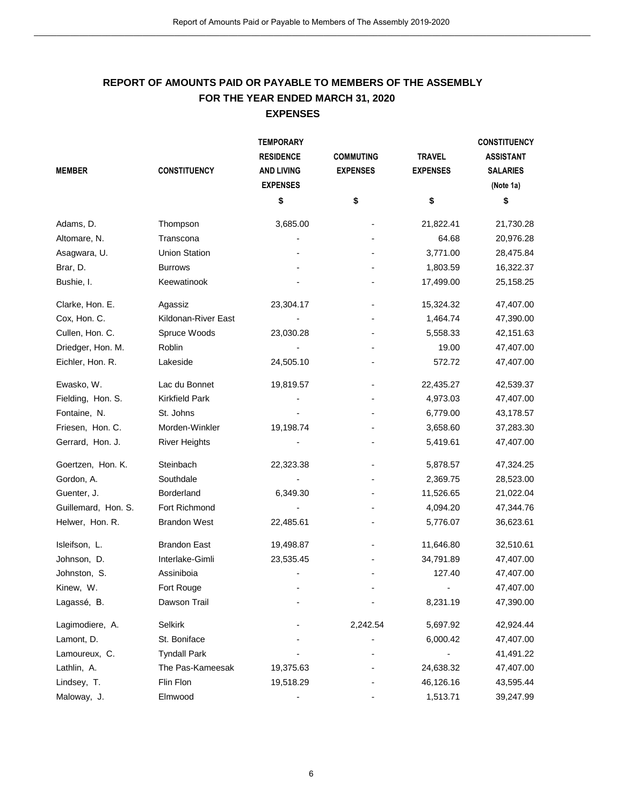# or Payable to Members of The Assembly 2019-2020<br> **RESIDENCE TO MEMBERS OF THE ASSEMBLY<br>
<b>RESIDED MARCH 31, 2020**<br> **EXPENSES**<br> **REMPORARY EXPENSES REPORT OF AMOUNTS PAID OR PAYABLE TO MEMBERS OF THE ASSEMBLY FOR THE YEAR ENDED MARCH 31, 2020**

|                     |                                                              |                   | Report of Amounts Paid or Payable to Members of The Assembly 2019-2020 |                 |                     |  |
|---------------------|--------------------------------------------------------------|-------------------|------------------------------------------------------------------------|-----------------|---------------------|--|
|                     |                                                              |                   |                                                                        |                 |                     |  |
|                     |                                                              |                   |                                                                        |                 |                     |  |
|                     | REPORT OF AMOUNTS PAID OR PAYABLE TO MEMBERS OF THE ASSEMBLY |                   |                                                                        |                 |                     |  |
|                     |                                                              | <b>EXPENSES</b>   | FOR THE YEAR ENDED MARCH 31, 2020                                      |                 |                     |  |
|                     |                                                              |                   |                                                                        |                 |                     |  |
|                     |                                                              | <b>TEMPORARY</b>  |                                                                        |                 | <b>CONSTITUENCY</b> |  |
|                     |                                                              | <b>RESIDENCE</b>  | <b>COMMUTING</b>                                                       | <b>TRAVEL</b>   | <b>ASSISTANT</b>    |  |
| <b>MEMBER</b>       | <b>CONSTITUENCY</b>                                          | <b>AND LIVING</b> | <b>EXPENSES</b>                                                        | <b>EXPENSES</b> | <b>SALARIES</b>     |  |
|                     |                                                              | <b>EXPENSES</b>   |                                                                        |                 | (Note 1a)           |  |
|                     |                                                              | \$                | \$                                                                     | \$              | \$                  |  |
| Adams, D.           | Thompson                                                     | 3,685.00          |                                                                        | 21,822.41       | 21,730.28           |  |
| Altomare, N.        | Transcona                                                    |                   |                                                                        | 64.68           | 20,976.28           |  |
| Asagwara, U.        | <b>Union Station</b>                                         |                   |                                                                        | 3,771.00        | 28,475.84           |  |
| Brar, D.            | <b>Burrows</b>                                               |                   |                                                                        | 1,803.59        | 16,322.37           |  |
| Bushie, I.          | Keewatinook                                                  |                   |                                                                        | 17,499.00       | 25,158.25           |  |
| Clarke, Hon. E.     | Agassiz                                                      | 23,304.17         |                                                                        | 15,324.32       | 47,407.00           |  |
| Cox, Hon. C.        | Kildonan-River East                                          |                   |                                                                        | 1,464.74        | 47,390.00           |  |
| Cullen, Hon. C.     | Spruce Woods                                                 | 23,030.28         |                                                                        | 5,558.33        | 42,151.63           |  |
| Driedger, Hon. M.   | Roblin                                                       |                   |                                                                        | 19.00           | 47,407.00           |  |
| Eichler, Hon. R.    | Lakeside                                                     | 24,505.10         |                                                                        | 572.72          | 47,407.00           |  |
| Ewasko, W.          | Lac du Bonnet                                                | 19,819.57         |                                                                        | 22,435.27       | 42,539.37           |  |
| Fielding, Hon. S.   | <b>Kirkfield Park</b>                                        |                   |                                                                        | 4,973.03        | 47,407.00           |  |
| Fontaine, N.        | St. Johns                                                    |                   |                                                                        | 6,779.00        | 43,178.57           |  |
| Friesen, Hon. C.    | Morden-Winkler                                               | 19,198.74         |                                                                        | 3,658.60        | 37,283.30           |  |
| Gerrard, Hon. J.    | <b>River Heights</b>                                         |                   |                                                                        | 5,419.61        | 47,407.00           |  |
| Goertzen, Hon. K.   | Steinbach                                                    | 22,323.38         |                                                                        | 5,878.57        | 47,324.25           |  |
| Gordon, A.          | Southdale                                                    |                   |                                                                        | 2,369.75        | 28,523.00           |  |
| Guenter, J.         | Borderland                                                   | 6,349.30          |                                                                        | 11,526.65       | 21,022.04           |  |
| Guillemard, Hon. S. | Fort Richmond                                                |                   |                                                                        | 4,094.20        | 47,344.76           |  |
| Helwer, Hon. R.     | <b>Brandon West</b>                                          | 22,485.61         |                                                                        | 5,776.07        | 36,623.61           |  |
| Isleifson, L.       | <b>Brandon East</b>                                          | 19,498.87         |                                                                        | 11,646.80       | 32,510.61           |  |
| Johnson, D.         | Interlake-Gimli                                              | 23,535.45         |                                                                        | 34,791.89       | 47,407.00           |  |
| Johnston, S.        | Assiniboia                                                   |                   |                                                                        | 127.40          | 47,407.00           |  |
| Kinew, W.           | Fort Rouge                                                   |                   |                                                                        |                 | 47,407.00           |  |
| Lagassé, B.         | Dawson Trail                                                 |                   |                                                                        | 8,231.19        | 47,390.00           |  |
| Lagimodiere, A.     | Selkirk                                                      |                   | 2,242.54                                                               | 5,697.92        | 42,924.44           |  |
| Lamont, D.          | St. Boniface                                                 |                   |                                                                        | 6,000.42        | 47,407.00           |  |
| Lamoureux, C.       | <b>Tyndall Park</b>                                          |                   |                                                                        |                 | 41,491.22           |  |
| Lathlin, A.         | The Pas-Kameesak                                             | 19,375.63         |                                                                        | 24,638.32       | 47,407.00           |  |
| Lindsey, T.         | Flin Flon                                                    | 19,518.29         |                                                                        | 46,126.16       | 43,595.44           |  |
| Maloway, J.         | Elmwood                                                      |                   |                                                                        | 1,513.71        | 39,247.99           |  |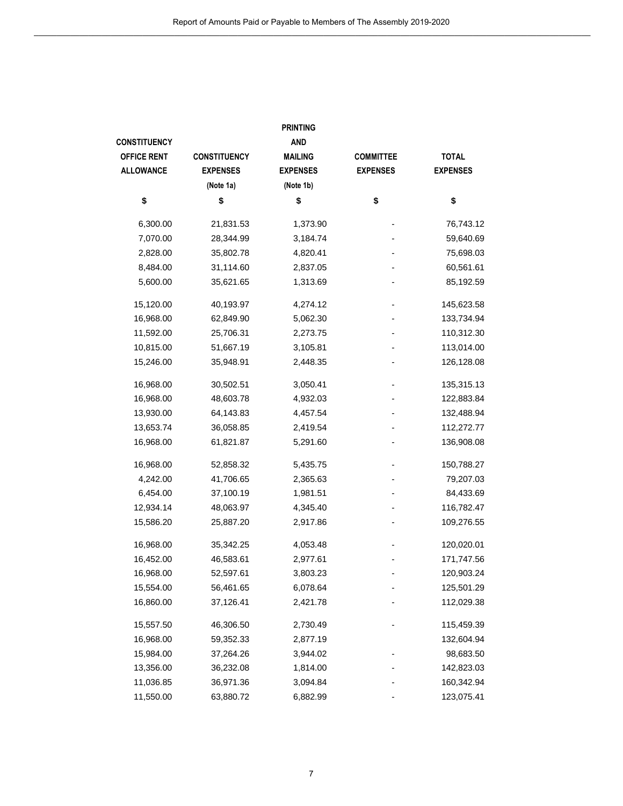|                    | Report of Amounts Paid or Payable to Members of The Assembly 2019-2020 |                 |                  |                 |
|--------------------|------------------------------------------------------------------------|-----------------|------------------|-----------------|
|                    |                                                                        | <b>PRINTING</b> |                  |                 |
| ONSTITUENCY        |                                                                        | <b>AND</b>      |                  |                 |
| <b>OFFICE RENT</b> | <b>CONSTITUENCY</b>                                                    | <b>MAILING</b>  | <b>COMMITTEE</b> | <b>TOTAL</b>    |
| <b>ALLOWANCE</b>   | <b>EXPENSES</b>                                                        | <b>EXPENSES</b> | <b>EXPENSES</b>  | <b>EXPENSES</b> |
|                    | (Note 1a)                                                              | (Note 1b)       |                  |                 |
| \$                 | \$                                                                     | \$              | \$               | \$              |
|                    |                                                                        |                 |                  |                 |
| 6,300.00           | 21,831.53                                                              | 1,373.90        |                  | 76,743.12       |
| 7,070.00           | 28,344.99                                                              | 3,184.74        |                  | 59,640.69       |
| 2,828.00           | 35,802.78                                                              | 4,820.41        |                  | 75,698.03       |
| 8,484.00           | 31,114.60                                                              | 2,837.05        |                  | 60,561.61       |
| 5,600.00           | 35,621.65                                                              | 1,313.69        |                  | 85,192.59       |
| 15,120.00          | 40,193.97                                                              | 4,274.12        |                  | 145,623.58      |
| 16,968.00          | 62,849.90                                                              | 5,062.30        |                  | 133,734.94      |
| 11,592.00          | 25,706.31                                                              | 2,273.75        |                  | 110,312.30      |
| 10,815.00          | 51,667.19                                                              | 3,105.81        |                  | 113,014.00      |
| 15,246.00          | 35,948.91                                                              | 2,448.35        |                  | 126,128.08      |
| 16,968.00          | 30,502.51                                                              | 3,050.41        |                  | 135,315.13      |
| 16,968.00          | 48,603.78                                                              | 4,932.03        |                  | 122,883.84      |
| 13,930.00          | 64,143.83                                                              | 4,457.54        |                  | 132,488.94      |
| 13,653.74          | 36,058.85                                                              | 2,419.54        |                  | 112,272.77      |
| 16,968.00          | 61,821.87                                                              | 5,291.60        |                  | 136,908.08      |
|                    |                                                                        |                 |                  |                 |
| 16,968.00          | 52,858.32                                                              | 5,435.75        |                  | 150,788.27      |
| 4,242.00           | 41,706.65                                                              | 2,365.63        |                  | 79,207.03       |
| 6,454.00           | 37,100.19                                                              | 1,981.51        |                  | 84,433.69       |
| 12,934.14          | 48,063.97                                                              | 4,345.40        |                  | 116,782.47      |
| 15,586.20          | 25,887.20                                                              | 2,917.86        |                  | 109,276.55      |
| 16,968.00          | 35,342.25                                                              | 4,053.48        |                  | 120,020.01      |
| 16,452.00          | 46,583.61                                                              | 2,977.61        |                  | 171,747.56      |
| 16,968.00          | 52,597.61                                                              | 3,803.23        |                  | 120,903.24      |
| 15,554.00          | 56,461.65                                                              | 6,078.64        |                  | 125,501.29      |
| 16,860.00          | 37,126.41                                                              | 2,421.78        |                  | 112,029.38      |
| 15,557.50          | 46,306.50                                                              | 2,730.49        |                  | 115,459.39      |
| 16,968.00          | 59,352.33                                                              | 2,877.19        |                  | 132,604.94      |
| 15,984.00          | 37,264.26                                                              | 3,944.02        |                  | 98,683.50       |
| 13,356.00          | 36,232.08                                                              | 1,814.00        |                  | 142,823.03      |
| 11,036.85          | 36,971.36                                                              | 3,094.84        |                  | 160,342.94      |
| 11,550.00          | 63,880.72                                                              | 6,882.99        |                  | 123,075.41      |
|                    |                                                                        |                 |                  |                 |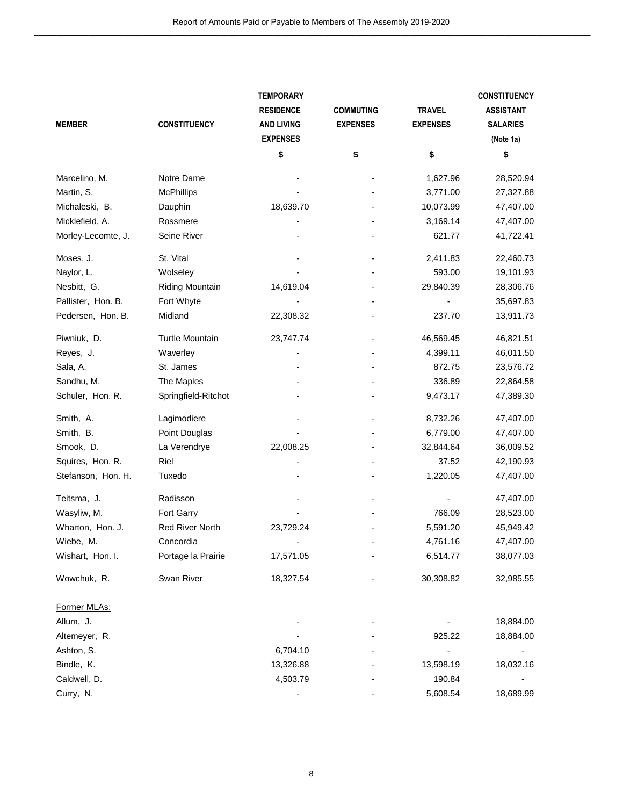|                          |                     | Report of Amounts Paid or Payable to Members of The Assembly 2019-2020 |                                     |                 |                                     |
|--------------------------|---------------------|------------------------------------------------------------------------|-------------------------------------|-----------------|-------------------------------------|
|                          |                     |                                                                        |                                     |                 |                                     |
|                          |                     |                                                                        |                                     |                 |                                     |
|                          |                     |                                                                        |                                     |                 |                                     |
|                          |                     |                                                                        |                                     |                 |                                     |
|                          |                     | <b>TEMPORARY</b>                                                       |                                     | <b>TRAVEL</b>   | <b>CONSTITUENCY</b>                 |
| <b>MEMBER</b>            | <b>CONSTITUENCY</b> | <b>RESIDENCE</b><br><b>AND LIVING</b>                                  | <b>COMMUTING</b><br><b>EXPENSES</b> | <b>EXPENSES</b> | <b>ASSISTANT</b><br><b>SALARIES</b> |
|                          |                     | <b>EXPENSES</b>                                                        |                                     |                 | (Note 1a)                           |
|                          |                     | \$                                                                     | \$                                  | \$              | \$                                  |
|                          |                     |                                                                        |                                     |                 |                                     |
| Marcelino, M.            | Notre Dame          |                                                                        |                                     | 1,627.96        | 28,520.94                           |
| Martin, S.               | <b>McPhillips</b>   |                                                                        |                                     | 3,771.00        | 27,327.88                           |
| Michaleski, B.           | Dauphin             | 18,639.70                                                              |                                     | 10,073.99       | 47,407.00                           |
| Micklefield, A.          | Rossmere            |                                                                        |                                     | 3,169.14        | 47,407.00                           |
| Morley-Lecomte, J.       | Seine River         |                                                                        |                                     | 621.77          | 41,722.41                           |
| Moses, J.                | St. Vital           |                                                                        |                                     | 2,411.83        | 22,460.73                           |
| Naylor, L.               | Wolseley            |                                                                        |                                     | 593.00          | 19,101.93                           |
| Nesbitt, G.              | Riding Mountain     | 14,619.04                                                              |                                     | 29,840.39       | 28,306.76                           |
| Pallister, Hon. B.       | Fort Whyte          |                                                                        |                                     |                 | 35,697.83                           |
| Pedersen, Hon. B.        | Midland             | 22,308.32                                                              |                                     | 237.70          | 13,911.73                           |
| Piwniuk, D.              | Turtle Mountain     | 23,747.74                                                              |                                     | 46,569.45       | 46,821.51                           |
| Reyes, J.                | Waverley            |                                                                        |                                     | 4,399.11        | 46,011.50                           |
| Sala, A.                 | St. James           |                                                                        |                                     | 872.75          | 23,576.72                           |
| Sandhu, M.               | The Maples          |                                                                        |                                     | 336.89          | 22,864.58                           |
| Schuler, Hon. R.         | Springfield-Ritchot |                                                                        |                                     | 9,473.17        | 47,389.30                           |
| Smith, A.                | Lagimodiere         |                                                                        |                                     | 8,732.26        | 47,407.00                           |
| Smith, B.                | Point Douglas       |                                                                        |                                     | 6,779.00        | 47,407.00                           |
| Smook, D.                | La Verendrye        | 22,008.25                                                              |                                     | 32,844.64       | 36,009.52                           |
| Squires, Hon. R.         | Riel                |                                                                        |                                     | 37.52           | 42,190.93                           |
| Stefanson, Hon. H.       | Tuxedo              |                                                                        |                                     | 1,220.05        | 47,407.00                           |
| Teitsma, J.              | Radisson            |                                                                        |                                     |                 | 47,407.00                           |
| Wasyliw, M.              | Fort Garry          |                                                                        |                                     | 766.09          | 28,523.00                           |
| Wharton, Hon. J.         | Red River North     | 23,729.24                                                              |                                     | 5,591.20        | 45,949.42                           |
| Wiebe, M.                | Concordia           |                                                                        |                                     | 4,761.16        | 47,407.00                           |
| Wishart, Hon. I.         | Portage la Prairie  | 17,571.05                                                              |                                     | 6,514.77        | 38,077.03                           |
| Wowchuk, R.              | Swan River          | 18,327.54                                                              |                                     | 30,308.82       | 32,985.55                           |
|                          |                     |                                                                        |                                     |                 |                                     |
| Former MLAs:             |                     |                                                                        |                                     |                 |                                     |
| Allum, J.                |                     |                                                                        |                                     |                 | 18,884.00                           |
| Altemeyer, R.            |                     |                                                                        |                                     | 925.22          | 18,884.00                           |
| Ashton, S.<br>Bindle, K. |                     | 6,704.10<br>13,326.88                                                  |                                     | 13,598.19       | 18,032.16                           |
| Caldwell, D.             |                     | 4,503.79                                                               |                                     | 190.84          |                                     |
| Curry, N.                |                     |                                                                        |                                     | 5,608.54        | 18,689.99                           |
|                          |                     |                                                                        |                                     |                 |                                     |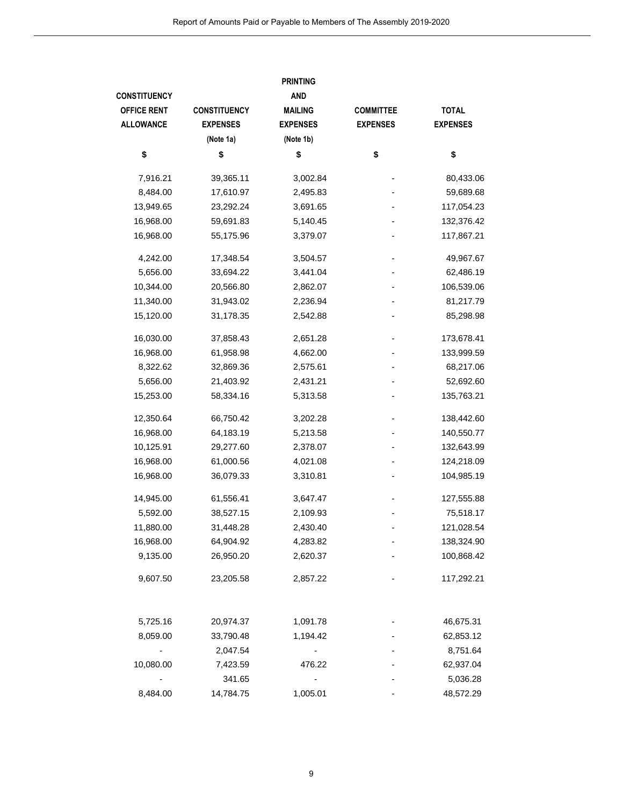| <b>CONSTITUENCY</b><br><b>EXPENSES</b><br>(Note 1a)<br>\$<br>39,365.11 | <b>AND</b><br><b>MAILING</b><br><b>EXPENSES</b><br>(Note 1b)<br>\$ | <b>COMMITTEE</b><br><b>EXPENSES</b>          | <b>TOTAL</b><br><b>EXPENSES</b> |
|------------------------------------------------------------------------|--------------------------------------------------------------------|----------------------------------------------|---------------------------------|
|                                                                        |                                                                    |                                              |                                 |
|                                                                        |                                                                    |                                              |                                 |
|                                                                        |                                                                    |                                              |                                 |
|                                                                        |                                                                    |                                              |                                 |
|                                                                        |                                                                    | \$                                           | \$                              |
|                                                                        | 3,002.84                                                           |                                              | 80,433.06                       |
| 17,610.97                                                              | 2,495.83                                                           |                                              | 59,689.68                       |
| 23,292.24                                                              | 3,691.65                                                           |                                              | 117,054.23                      |
| 59,691.83                                                              | 5,140.45                                                           |                                              | 132,376.42                      |
| 55,175.96                                                              | 3,379.07                                                           |                                              | 117,867.21                      |
|                                                                        |                                                                    |                                              | 49,967.67                       |
| 33,694.22                                                              |                                                                    |                                              | 62,486.19                       |
|                                                                        |                                                                    |                                              | 106,539.06                      |
|                                                                        |                                                                    |                                              | 81,217.79                       |
| 31,178.35                                                              | 2,542.88                                                           |                                              | 85,298.98                       |
| 37,858.43                                                              | 2,651.28                                                           |                                              | 173,678.41                      |
| 61,958.98                                                              | 4,662.00                                                           |                                              | 133,999.59                      |
| 32,869.36                                                              | 2,575.61                                                           |                                              | 68,217.06                       |
| 21,403.92                                                              | 2,431.21                                                           |                                              | 52,692.60                       |
| 58,334.16                                                              | 5,313.58                                                           |                                              | 135,763.21                      |
| 66,750.42                                                              | 3,202.28                                                           |                                              | 138,442.60                      |
| 64,183.19                                                              | 5,213.58                                                           |                                              | 140,550.77                      |
| 29,277.60                                                              | 2,378.07                                                           |                                              | 132,643.99                      |
| 61,000.56                                                              | 4,021.08                                                           |                                              | 124,218.09                      |
| 36,079.33                                                              | 3,310.81                                                           |                                              | 104,985.19                      |
| 61,556.41                                                              | 3,647.47                                                           |                                              | 127,555.88                      |
| 38,527.15                                                              | 2,109.93                                                           |                                              | 75,518.17                       |
| 31,448.28                                                              | 2,430.40                                                           |                                              | 121,028.54                      |
| 64,904.92                                                              | 4,283.82                                                           |                                              | 138,324.90                      |
| 26,950.20                                                              | 2,620.37                                                           |                                              | 100,868.42                      |
| 23,205.58                                                              | 2,857.22                                                           |                                              | 117,292.21                      |
|                                                                        | 17,348.54<br>20,566.80<br>31,943.02                                | 3,504.57<br>3,441.04<br>2,862.07<br>2,236.94 |                                 |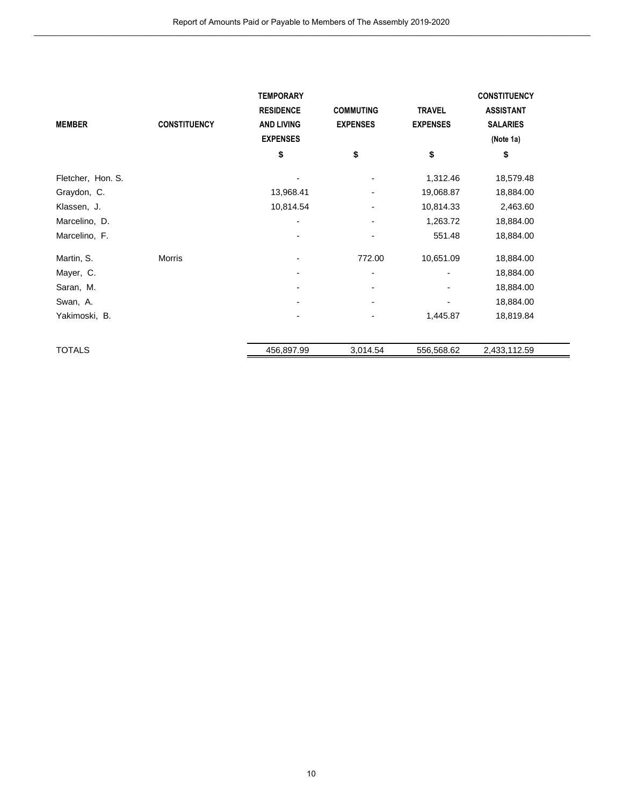| Report of Amounts Paid or Payable to Members of The Assembly 2019-2020 |                     |                                                                              |                                     |                                  |                                                                         |  |  |
|------------------------------------------------------------------------|---------------------|------------------------------------------------------------------------------|-------------------------------------|----------------------------------|-------------------------------------------------------------------------|--|--|
| <b>MEMBER</b>                                                          | <b>CONSTITUENCY</b> | <b>TEMPORARY</b><br><b>RESIDENCE</b><br><b>AND LIVING</b><br><b>EXPENSES</b> | <b>COMMUTING</b><br><b>EXPENSES</b> | <b>TRAVEL</b><br><b>EXPENSES</b> | <b>CONSTITUENCY</b><br><b>ASSISTANT</b><br><b>SALARIES</b><br>(Note 1a) |  |  |
|                                                                        |                     | \$                                                                           | \$                                  | \$                               | \$                                                                      |  |  |
| Fletcher, Hon. S.                                                      |                     |                                                                              |                                     | 1,312.46                         | 18,579.48                                                               |  |  |
| Graydon, C.                                                            |                     | 13,968.41                                                                    |                                     | 19,068.87                        | 18,884.00                                                               |  |  |
| Klassen, J.                                                            |                     | 10,814.54                                                                    |                                     | 10,814.33                        | 2,463.60                                                                |  |  |
| Marcelino, D.                                                          |                     |                                                                              |                                     | 1,263.72                         | 18,884.00                                                               |  |  |
| Marcelino, F.                                                          |                     |                                                                              |                                     | 551.48                           | 18,884.00                                                               |  |  |
| Martin, S.                                                             | Morris              |                                                                              | 772.00                              | 10,651.09                        | 18,884.00                                                               |  |  |
| Mayer, C.                                                              |                     |                                                                              |                                     |                                  | 18,884.00                                                               |  |  |
| Saran, M.                                                              |                     |                                                                              |                                     |                                  | 18,884.00                                                               |  |  |
| Swan, A.                                                               |                     |                                                                              |                                     |                                  | 18,884.00                                                               |  |  |
| Yakimoski, B.                                                          |                     |                                                                              |                                     | 1,445.87                         | 18,819.84                                                               |  |  |
|                                                                        |                     |                                                                              |                                     |                                  |                                                                         |  |  |
| <b>TOTALS</b>                                                          |                     | 456,897.99                                                                   | 3,014.54                            | 556,568.62                       | 2,433,112.59                                                            |  |  |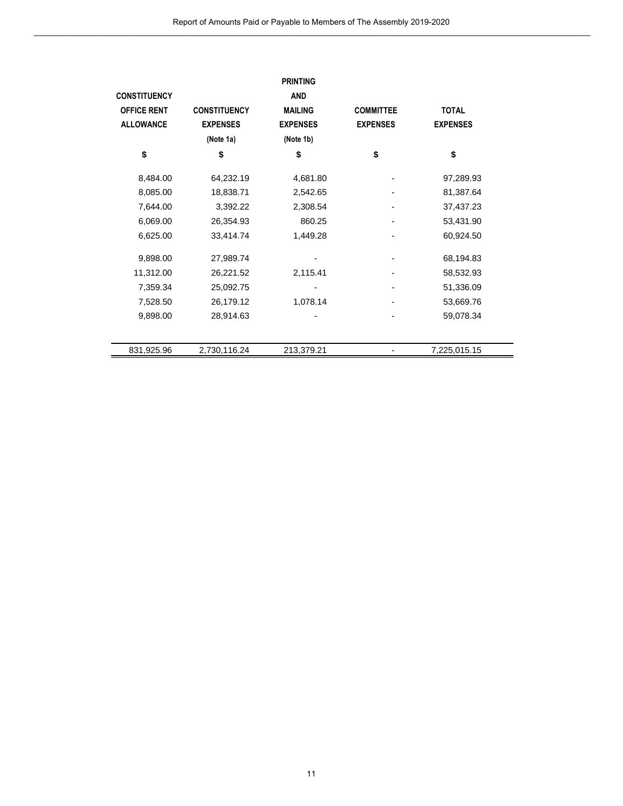|                     | Report of Amounts Paid or Payable to Members of The Assembly 2019-2020 |                               |                  |                 |  |
|---------------------|------------------------------------------------------------------------|-------------------------------|------------------|-----------------|--|
| <b>CONSTITUENCY</b> |                                                                        | <b>PRINTING</b><br><b>AND</b> |                  |                 |  |
| <b>OFFICE RENT</b>  | <b>CONSTITUENCY</b>                                                    | <b>MAILING</b>                | <b>COMMITTEE</b> | <b>TOTAL</b>    |  |
| <b>ALLOWANCE</b>    | <b>EXPENSES</b>                                                        | <b>EXPENSES</b>               | <b>EXPENSES</b>  | <b>EXPENSES</b> |  |
|                     | (Note 1a)                                                              | (Note 1b)                     |                  |                 |  |
| \$                  | \$                                                                     | \$                            | \$               | \$              |  |
| 8,484.00            | 64,232.19                                                              | 4,681.80                      |                  | 97,289.93       |  |
| 8,085.00            | 18,838.71                                                              | 2,542.65                      |                  | 81,387.64       |  |
| 7,644.00            | 3,392.22                                                               | 2,308.54                      |                  | 37,437.23       |  |
| 6,069.00            | 26,354.93                                                              | 860.25                        |                  | 53,431.90       |  |
| 6,625.00            | 33,414.74                                                              | 1,449.28                      |                  | 60,924.50       |  |
| 9,898.00            | 27,989.74                                                              |                               |                  | 68,194.83       |  |
| 11,312.00           | 26,221.52                                                              | 2,115.41                      |                  | 58,532.93       |  |
| 7,359.34            | 25,092.75                                                              |                               |                  | 51,336.09       |  |
| 7,528.50            | 26,179.12                                                              | 1,078.14                      |                  | 53,669.76       |  |
| 9,898.00            | 28,914.63                                                              |                               |                  | 59,078.34       |  |
|                     |                                                                        |                               |                  |                 |  |
| 831,925.96          | 2,730,116.24                                                           | 213,379.21                    |                  | 7,225,015.15    |  |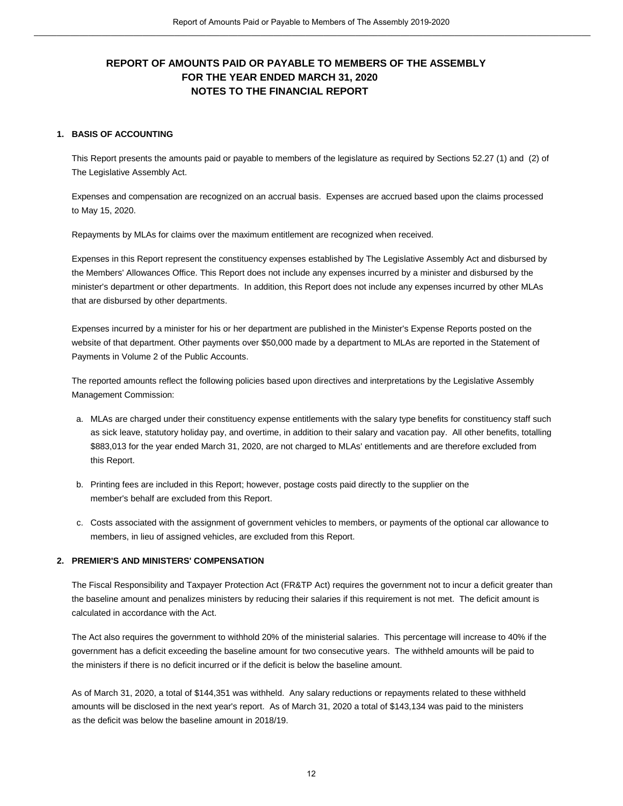# **REPORT OF AMOUNTS PAID OR PAYABLE TO MEMBERS OF THE ASSEMBLY 1. BASIS OF ACCOUNTING FOR THE YEAR ENDED MARCH 31, 2020 NOTES TO THE FINANCIAL REPORT**

This Report presents the amounts paid or payable to members of the legislature as required by Sections 52.27 (1) and (2) of The Legislative Assembly Act.

Expenses and compensation are recognized on an accrual basis. Expenses are accrued based upon the claims processed to May 15, 2020.

Repayments by MLAs for claims over the maximum entitlement are recognized when received.

Expenses in this Report represent the constituency expenses established by The Legislative Assembly Act and disbursed by the Members' Allowances Office. This Report does not include any expenses incurred by a minister and disbursed by the minister's department or other departments. In addition, this Report does not include any expenses incurred by other MLAs that are disbursed by other departments.

Expenses incurred by a minister for his or her department are published in the Minister's Expense Reports posted on the website of that department. Other payments over \$50,000 made by a department to MLAs are reported in the Statement of Payments in Volume 2 of the Public Accounts.

The reported amounts reflect the following policies based upon directives and interpretations by the Legislative Assembly Management Commission: is a reported amounts reflect the following policies based upon directives and interpretations by the Legislative Assembly<br>Annagement Commission:<br>A. MLAs are charged under their constituency expense entitlements with the s

- as sick leave, statutory holiday pay, and overtime, in addition to their salary and vacation pay. All other benefits, totalling \$883,013 for the year ended March 31, 2020, are not charged to MLAs' entitlements and are therefore excluded from this Report. as sick leave, statutory holiday pay, and overtime, in addition to their salary and vacation pay. All other bene<br>\$883,013 for the year ended March 31, 2020, are not charged to MLAs' entitlements and are therefore exclude<br>t
- member's behalf are excluded from this Report. c. Costs associated with the assignment of government vehicles to members, or payments of the optional car allowance to c. Costs associated with the assignment of government vehicles to members, or payments of the optional
- members, in lieu of assigned vehicles, are excluded from this Report.

### **2. PREMIER'S AND MINISTERS' COMPENSATION**

The Fiscal Responsibility and Taxpayer Protection Act (FR&TP Act) requires the government not to incur a deficit greater than the baseline amount and penalizes ministers by reducing their salaries if this requirement is not met. The deficit amount is calculated in accordance with the Act.

The Act also requires the government to withhold 20% of the ministerial salaries. This percentage will increase to 40% if the government has a deficit exceeding the baseline amount for two consecutive years. The withheld amounts will be paid to the ministers if there is no deficit incurred or if the deficit is below the baseline amount.

As of March 31, 2020, a total of \$144,351 was withheld. Any salary reductions or repayments related to these withheld amounts will be disclosed in the next year's report. As of March 31, 2020 a total of \$143,134 was paid to the ministers as the deficit was below the baseline amount in 2018/19.